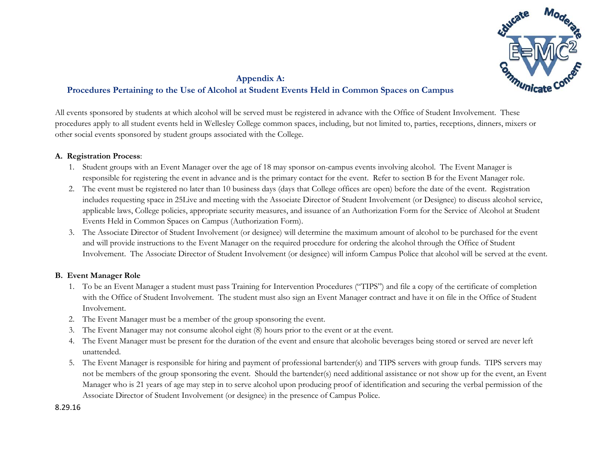

# **Appendix A: Procedures Pertaining to the Use of Alcohol at Student Events Held in Common Spaces on Campus**

All events sponsored by students at which alcohol will be served must be registered in advance with the Office of Student Involvement. These procedures apply to all student events held in Wellesley College common spaces, including, but not limited to, parties, receptions, dinners, mixers or other social events sponsored by student groups associated with the College.

## **A. Registration Process**:

- 1. Student groups with an Event Manager over the age of 18 may sponsor on-campus events involving alcohol. The Event Manager is responsible for registering the event in advance and is the primary contact for the event. Refer to section B for the Event Manager role.
- 2. The event must be registered no later than 10 business days (days that College offices are open) before the date of the event. Registration includes requesting space in 25Live and meeting with the Associate Director of Student Involvement (or Designee) to discuss alcohol service, applicable laws, College policies, appropriate security measures, and issuance of an Authorization Form for the Service of Alcohol at Student Events Held in Common Spaces on Campus (Authorization Form).
- 3. The Associate Director of Student Involvement (or designee) will determine the maximum amount of alcohol to be purchased for the event and will provide instructions to the Event Manager on the required procedure for ordering the alcohol through the Office of Student Involvement. The Associate Director of Student Involvement (or designee) will inform Campus Police that alcohol will be served at the event.

## **B. Event Manager Role**

- 1. To be an Event Manager a student must pass Training for Intervention Procedures ("TIPS") and file a copy of the certificate of completion with the Office of Student Involvement. The student must also sign an Event Manager contract and have it on file in the Office of Student Involvement.
- 2. The Event Manager must be a member of the group sponsoring the event.
- 3. The Event Manager may not consume alcohol eight (8) hours prior to the event or at the event.
- 4. The Event Manager must be present for the duration of the event and ensure that alcoholic beverages being stored or served are never left unattended.
- 5. The Event Manager is responsible for hiring and payment of professional bartender(s) and TIPS servers with group funds. TIPS servers may not be members of the group sponsoring the event. Should the bartender(s) need additional assistance or not show up for the event, an Event Manager who is 21 years of age may step in to serve alcohol upon producing proof of identification and securing the verbal permission of the Associate Director of Student Involvement (or designee) in the presence of Campus Police.

8.29.16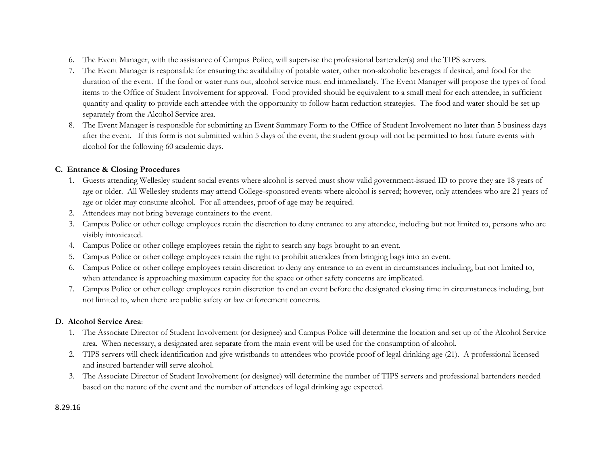- 6. The Event Manager, with the assistance of Campus Police, will supervise the professional bartender(s) and the TIPS servers.
- 7. The Event Manager is responsible for ensuring the availability of potable water, other non-alcoholic beverages if desired, and food for the duration of the event. If the food or water runs out, alcohol service must end immediately. The Event Manager will propose the types of food items to the Office of Student Involvement for approval. Food provided should be equivalent to a small meal for each attendee, in sufficient quantity and quality to provide each attendee with the opportunity to follow harm reduction strategies. The food and water should be set up separately from the Alcohol Service area.
- 8. The Event Manager is responsible for submitting an Event Summary Form to the Office of Student Involvement no later than 5 business days after the event. If this form is not submitted within 5 days of the event, the student group will not be permitted to host future events with alcohol for the following 60 academic days.

### **C. Entrance & Closing Procedures**

- 1. Guests attending Wellesley student social events where alcohol is served must show valid government-issued ID to prove they are 18 years of age or older. All Wellesley students may attend College-sponsored events where alcohol is served; however, only attendees who are 21 years of age or older may consume alcohol. For all attendees, proof of age may be required.
- 2. Attendees may not bring beverage containers to the event.
- 3. Campus Police or other college employees retain the discretion to deny entrance to any attendee, including but not limited to, persons who are visibly intoxicated.
- 4. Campus Police or other college employees retain the right to search any bags brought to an event.
- 5. Campus Police or other college employees retain the right to prohibit attendees from bringing bags into an event.
- 6. Campus Police or other college employees retain discretion to deny any entrance to an event in circumstances including, but not limited to, when attendance is approaching maximum capacity for the space or other safety concerns are implicated.
- 7. Campus Police or other college employees retain discretion to end an event before the designated closing time in circumstances including, but not limited to, when there are public safety or law enforcement concerns.

## **D. Alcohol Service Area**:

- 1. The Associate Director of Student Involvement (or designee) and Campus Police will determine the location and set up of the Alcohol Service area. When necessary, a designated area separate from the main event will be used for the consumption of alcohol.
- 2. TIPS servers will check identification and give wristbands to attendees who provide proof of legal drinking age (21). A professional licensed and insured bartender will serve alcohol.
- 3. The Associate Director of Student Involvement (or designee) will determine the number of TIPS servers and professional bartenders needed based on the nature of the event and the number of attendees of legal drinking age expected.

### 8.29.16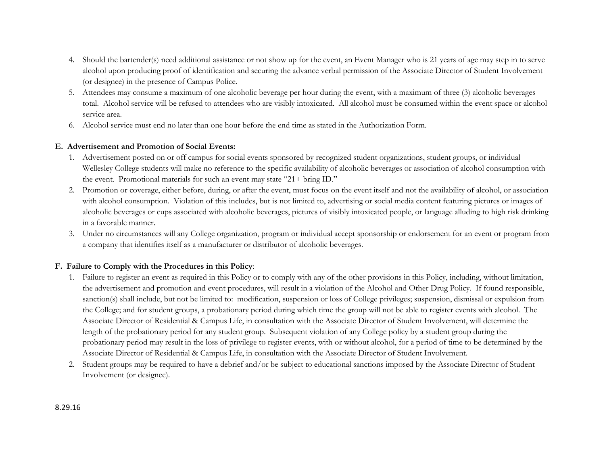- 4. Should the bartender(s) need additional assistance or not show up for the event, an Event Manager who is 21 years of age may step in to serve alcohol upon producing proof of identification and securing the advance verbal permission of the Associate Director of Student Involvement (or designee) in the presence of Campus Police.
- 5. Attendees may consume a maximum of one alcoholic beverage per hour during the event, with a maximum of three (3) alcoholic beverages total. Alcohol service will be refused to attendees who are visibly intoxicated. All alcohol must be consumed within the event space or alcohol service area.
- 6. Alcohol service must end no later than one hour before the end time as stated in the Authorization Form.

### **E. Advertisement and Promotion of Social Events:**

- 1. Advertisement posted on or off campus for social events sponsored by recognized student organizations, student groups, or individual Wellesley College students will make no reference to the specific availability of alcoholic beverages or association of alcohol consumption with the event. Promotional materials for such an event may state "21+ bring ID."
- 2. Promotion or coverage, either before, during, or after the event, must focus on the event itself and not the availability of alcohol, or association with alcohol consumption. Violation of this includes, but is not limited to, advertising or social media content featuring pictures or images of alcoholic beverages or cups associated with alcoholic beverages, pictures of visibly intoxicated people, or language alluding to high risk drinking in a favorable manner.
- 3. Under no circumstances will any College organization, program or individual accept sponsorship or endorsement for an event or program from a company that identifies itself as a manufacturer or distributor of alcoholic beverages.

### **F. Failure to Comply with the Procedures in this Policy**:

- 1. Failure to register an event as required in this Policy or to comply with any of the other provisions in this Policy, including, without limitation, the advertisement and promotion and event procedures, will result in a violation of the Alcohol and Other Drug Policy. If found responsible, sanction(s) shall include, but not be limited to: modification, suspension or loss of College privileges; suspension, dismissal or expulsion from the College; and for student groups, a probationary period during which time the group will not be able to register events with alcohol. The Associate Director of Residential & Campus Life, in consultation with the Associate Director of Student Involvement, will determine the length of the probationary period for any student group. Subsequent violation of any College policy by a student group during the probationary period may result in the loss of privilege to register events, with or without alcohol, for a period of time to be determined by the Associate Director of Residential & Campus Life, in consultation with the Associate Director of Student Involvement.
- 2. Student groups may be required to have a debrief and/or be subject to educational sanctions imposed by the Associate Director of Student Involvement (or designee).